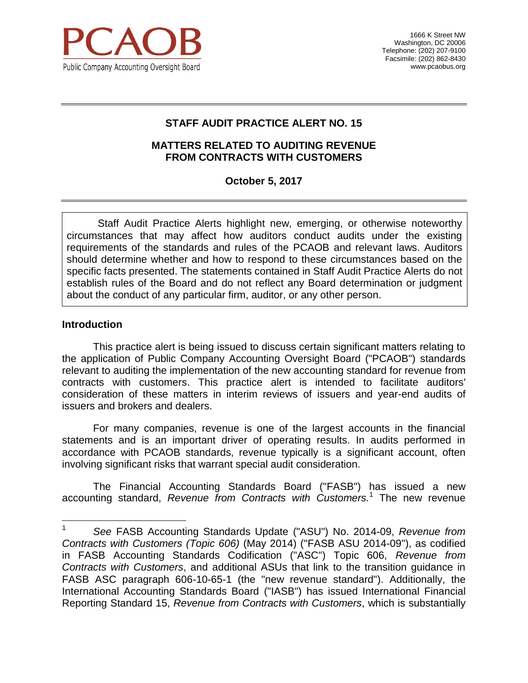

1666 K Street NW Washington, DC 20006 Telephone: (202) 207-9100 Facsimile: (202) 862-8430 [www.pcaobus.org](http://www.pcaobus.org/)

## **STAFF AUDIT PRACTICE ALERT NO. 15**

#### **MATTERS RELATED TO AUDITING REVENUE FROM CONTRACTS WITH CUSTOMERS**

### **October 5, 2017**

Staff Audit Practice Alerts highlight new, emerging, or otherwise noteworthy circumstances that may affect how auditors conduct audits under the existing requirements of the standards and rules of the PCAOB and relevant laws. Auditors should determine whether and how to respond to these circumstances based on the specific facts presented. The statements contained in Staff Audit Practice Alerts do not establish rules of the Board and do not reflect any Board determination or judgment about the conduct of any particular firm, auditor, or any other person.

#### **Introduction**

This practice alert is being issued to discuss certain significant matters relating to the application of Public Company Accounting Oversight Board ("PCAOB") standards relevant to auditing the implementation of the new accounting standard for revenue from contracts with customers. This practice alert is intended to facilitate auditors' consideration of these matters in interim reviews of issuers and year-end audits of issuers and brokers and dealers.

For many companies, revenue is one of the largest accounts in the financial statements and is an important driver of operating results. In audits performed in accordance with PCAOB standards, revenue typically is a significant account, often involving significant risks that warrant special audit consideration.

The Financial Accounting Standards Board ("FASB") has issued a new accounting standard, *Revenue from Contracts with Customers.*<sup>1</sup> The new revenue

 $\mathbf{1}$ <sup>1</sup> *See* FASB Accounting Standards Update ("ASU") No. 2014-09, *Revenue from Contracts with Customers (Topic 606)* (May 2014) ("FASB ASU 2014-09"), as codified in FASB Accounting Standards Codification ("ASC") Topic 606, *Revenue from Contracts with Customers*, and additional ASUs that link to the transition guidance in FASB ASC paragraph 606-10-65-1 (the "new revenue standard"). Additionally, the International Accounting Standards Board ("IASB") has issued International Financial Reporting Standard 15, *Revenue from Contracts with Customers*, which is substantially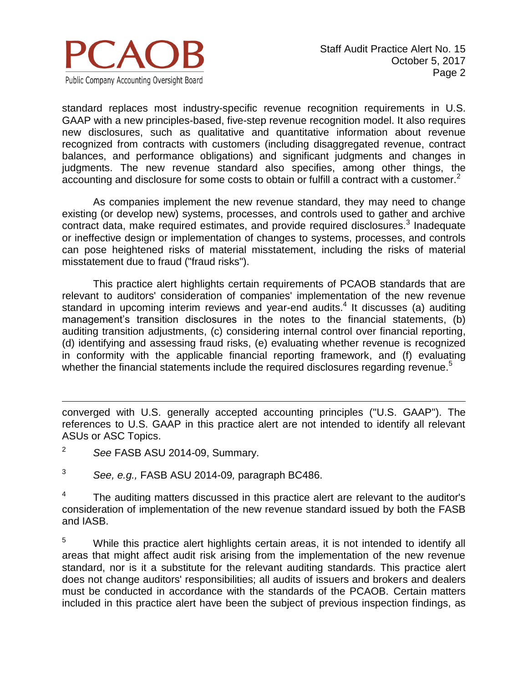

standard replaces most industry-specific revenue recognition requirements in U.S. GAAP with a new principles-based, five-step revenue recognition model. It also requires new disclosures, such as qualitative and quantitative information about revenue recognized from contracts with customers (including disaggregated revenue, contract balances, and performance obligations) and significant judgments and changes in judgments. The new revenue standard also specifies, among other things, the accounting and disclosure for some costs to obtain or fulfill a contract with a customer.<sup>2</sup>

As companies implement the new revenue standard, they may need to change existing (or develop new) systems, processes, and controls used to gather and archive contract data, make required estimates, and provide required disclosures. $3$  Inadequate or ineffective design or implementation of changes to systems, processes, and controls can pose heightened risks of material misstatement, including the risks of material misstatement due to fraud ("fraud risks").

This practice alert highlights certain requirements of PCAOB standards that are relevant to auditors' consideration of companies' implementation of the new revenue standard in upcoming interim reviews and year-end audits. 4 It discusses (a) auditing management's transition disclosures in the notes to the financial statements, (b) auditing transition adjustments, (c) considering internal control over financial reporting, (d) identifying and assessing fraud risks, (e) evaluating whether revenue is recognized in conformity with the applicable financial reporting framework, and (f) evaluating whether the financial statements include the required disclosures regarding revenue.<sup>5</sup>

<sup>2</sup> *See* FASB ASU 2014-09, Summary.

 $\overline{a}$ 

<sup>3</sup> *See, e.g.,* FASB ASU 2014-09*,* paragraph BC486.

4 The auditing matters discussed in this practice alert are relevant to the auditor's consideration of implementation of the new revenue standard issued by both the FASB and IASB.

<sup>5</sup> While this practice alert highlights certain areas, it is not intended to identify all areas that might affect audit risk arising from the implementation of the new revenue standard, nor is it a substitute for the relevant auditing standards. This practice alert does not change auditors' responsibilities; all audits of issuers and brokers and dealers must be conducted in accordance with the standards of the PCAOB. Certain matters included in this practice alert have been the subject of previous inspection findings, as

converged with U.S. generally accepted accounting principles ("U.S. GAAP"). The references to U.S. GAAP in this practice alert are not intended to identify all relevant ASUs or ASC Topics.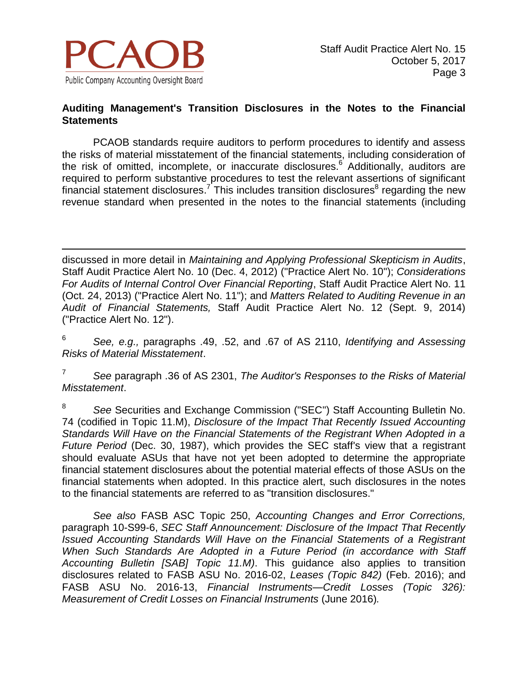

### **Auditing Management's Transition Disclosures in the Notes to the Financial Statements**

PCAOB standards require auditors to perform procedures to identify and assess the risks of material misstatement of the financial statements, including consideration of the risk of omitted, incomplete, or inaccurate disclosures.<sup>6</sup> Additionally, auditors are required to perform substantive procedures to test the relevant assertions of significant financial statement disclosures.<sup>7</sup> This includes transition disclosures<sup>8</sup> regarding the new revenue standard when presented in the notes to the financial statements (including

 $\overline{a}$ discussed in more detail in *Maintaining and Applying Professional Skepticism in Audits*, Staff Audit Practice Alert No. 10 (Dec. 4, 2012) ("Practice Alert No. 10"); *Considerations For Audits of Internal Control Over Financial Reporting*, Staff Audit Practice Alert No. 11 (Oct. 24, 2013) ("Practice Alert No. 11"); and *Matters Related to Auditing Revenue in an Audit of Financial Statements,* Staff Audit Practice Alert No. 12 (Sept. 9, 2014) ("Practice Alert No. 12").

<sup>6</sup> *See, e.g.,* paragraphs .49, .52, and .67 of AS 2110, *Identifying and Assessing Risks of Material Misstatement*.

<sup>7</sup> *See* paragraph .36 of AS 2301, *The Auditor's Responses to the Risks of Material Misstatement*.

<sup>8</sup> *See* Securities and Exchange Commission ("SEC") Staff Accounting Bulletin No. 74 (codified in Topic 11.M), *Disclosure of the Impact That Recently Issued Accounting Standards Will Have on the Financial Statements of the Registrant When Adopted in a Future Period* (Dec. 30, 1987), which provides the SEC staff's view that a registrant should evaluate ASUs that have not yet been adopted to determine the appropriate financial statement disclosures about the potential material effects of those ASUs on the financial statements when adopted. In this practice alert, such disclosures in the notes to the financial statements are referred to as "transition disclosures."

*See also* FASB ASC Topic 250, *Accounting Changes and Error Corrections,*  paragraph 10-S99-6, *SEC Staff Announcement: Disclosure of the Impact That Recently Issued Accounting Standards Will Have on the Financial Statements of a Registrant When Such Standards Are Adopted in a Future Period (in accordance with Staff Accounting Bulletin [SAB] Topic 11.M)*. This guidance also applies to transition disclosures related to FASB ASU No. 2016-02, *Leases (Topic 842)* (Feb. 2016); and FASB ASU No. 2016-13, *Financial Instruments—Credit Losses (Topic 326): Measurement of Credit Losses on Financial Instruments* (June 2016)*.*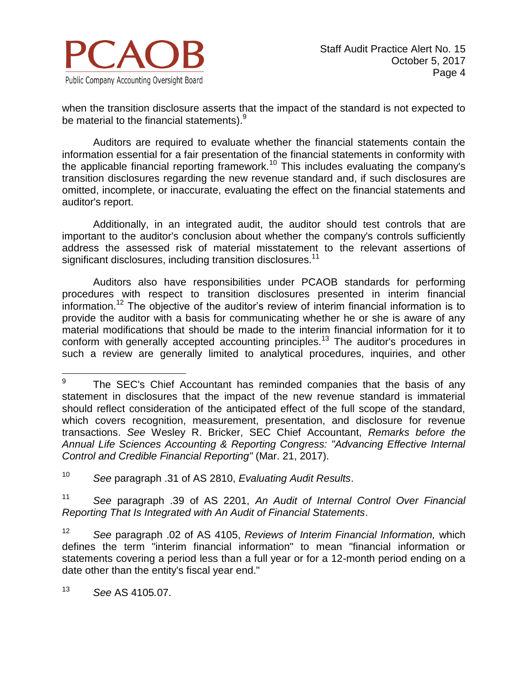

when the transition disclosure asserts that the impact of the standard is not expected to be material to the financial statements).<sup>9</sup>

Auditors are required to evaluate whether the financial statements contain the information essential for a fair presentation of the financial statements in conformity with the applicable financial reporting framework.<sup>10</sup> This includes evaluating the company's transition disclosures regarding the new revenue standard and, if such disclosures are omitted, incomplete, or inaccurate, evaluating the effect on the financial statements and auditor's report.

Additionally, in an integrated audit, the auditor should test controls that are important to the auditor's conclusion about whether the company's controls sufficiently address the assessed risk of material misstatement to the relevant assertions of significant disclosures, including transition disclosures.<sup>11</sup>

Auditors also have responsibilities under PCAOB standards for performing procedures with respect to transition disclosures presented in interim financial information.<sup>12</sup> The objective of the auditor's review of interim financial information is to provide the auditor with a basis for communicating whether he or she is aware of any material modifications that should be made to the interim financial information for it to conform with generally accepted accounting principles.<sup>13</sup> The auditor's procedures in such a review are generally limited to analytical procedures, inquiries, and other

<sup>10</sup> *See* paragraph .31 of AS 2810, *Evaluating Audit Results*.

<sup>11</sup> *See* paragraph .39 of AS 2201, *An Audit of Internal Control Over Financial Reporting That Is Integrated with An Audit of Financial Statements*.

<sup>12</sup> *See* paragraph .02 of AS 4105, *Reviews of Interim Financial Information,* which defines the term "interim financial information" to mean "financial information or statements covering a period less than a full year or for a 12-month period ending on a date other than the entity's fiscal year end."

<sup>13</sup> *See* AS 4105*.*07.

<sup>–&</sup>lt;br>9 The SEC's Chief Accountant has reminded companies that the basis of any statement in disclosures that the impact of the new revenue standard is immaterial should reflect consideration of the anticipated effect of the full scope of the standard, which covers recognition, measurement, presentation, and disclosure for revenue transactions. *See* Wesley R. Bricker, SEC Chief Accountant, *Remarks before the Annual Life Sciences Accounting & Reporting Congress: "Advancing Effective Internal Control and Credible Financial Reporting"* (Mar. 21, 2017).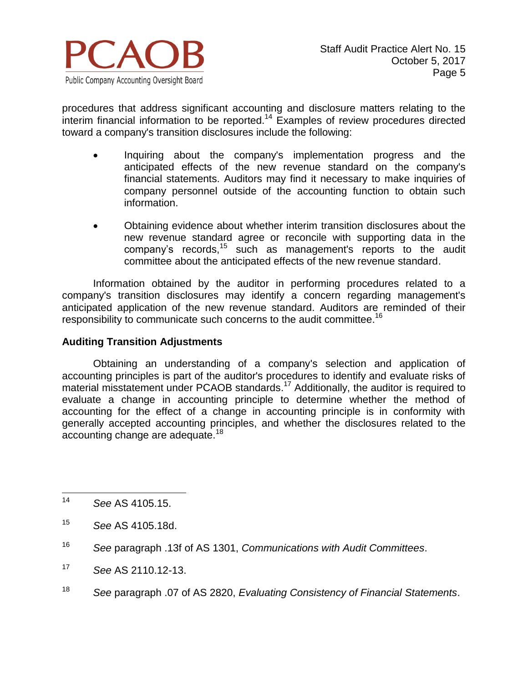

procedures that address significant accounting and disclosure matters relating to the  $inter$ interim financial information to be reported.<sup>14</sup> Examples of review procedures directed toward a company's transition disclosures include the following:

- Inquiring about the company's implementation progress and the anticipated effects of the new revenue standard on the company's financial statements. Auditors may find it necessary to make inquiries of company personnel outside of the accounting function to obtain such information.
- Obtaining evidence about whether interim transition disclosures about the new revenue standard agree or reconcile with supporting data in the company's records,<sup>15</sup> such as management's reports to the audit committee about the anticipated effects of the new revenue standard.

Information obtained by the auditor in performing procedures related to a company's transition disclosures may identify a concern regarding management's anticipated application of the new revenue standard. Auditors are reminded of their responsibility to communicate such concerns to the audit committee.<sup>16</sup>

#### **Auditing Transition Adjustments**

Obtaining an understanding of a company's selection and application of accounting principles is part of the auditor's procedures to identify and evaluate risks of material misstatement under PCAOB standards.<sup>17</sup> Additionally, the auditor is required to evaluate a change in accounting principle to determine whether the method of accounting for the effect of a change in accounting principle is in conformity with generally accepted accounting principles, and whether the disclosures related to the accounting change are adequate.<sup>18</sup>

- <sup>17</sup> *See* AS 2110.12-13.
- <sup>18</sup> *See* paragraph .07 of AS 2820, *Evaluating Consistency of Financial Statements*.

 $14$ <sup>14</sup> *See* AS 4105.15.

<sup>15</sup> *See* AS 4105.18d.

<sup>16</sup> *See* paragraph .13f of AS 1301, *Communications with Audit Committees*.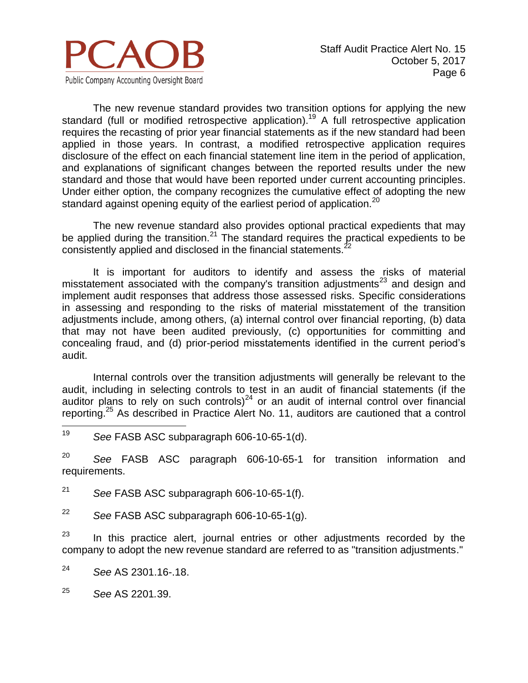

The new revenue standard provides two transition options for applying the new standard (full or modified retrospective application).<sup>19</sup> A full retrospective application requires the recasting of prior year financial statements as if the new standard had been applied in those years. In contrast, a modified retrospective application requires disclosure of the effect on each financial statement line item in the period of application, and explanations of significant changes between the reported results under the new standard and those that would have been reported under current accounting principles. Under either option, the company recognizes the cumulative effect of adopting the new standard against opening equity of the earliest period of application.<sup>20</sup>

The new revenue standard also provides optional practical expedients that may be applied during the transition.<sup>21</sup> The standard requires the practical expedients to be consistently applied and disclosed in the financial statements.<sup>2</sup>

It is important for auditors to identify and assess the risks of material misstatement associated with the company's transition adjustments<sup>23</sup> and design and implement audit responses that address those assessed risks. Specific considerations in assessing and responding to the risks of material misstatement of the transition adjustments include, among others, (a) internal control over financial reporting, (b) data that may not have been audited previously, (c) opportunities for committing and concealing fraud, and (d) prior-period misstatements identified in the current period's audit.

Internal controls over the transition adjustments will generally be relevant to the audit, including in selecting controls to test in an audit of financial statements (if the auditor plans to rely on such controls) $^{24}$  or an audit of internal control over financial reporting.<sup>25</sup> As described in Practice Alert No. 11, auditors are cautioned that a control

19 See FASB ASC subparagraph 606-10-65-1(d).

<sup>20</sup> *See* FASB ASC paragraph 606-10-65-1 for transition information and requirements.

<sup>21</sup> *See* FASB ASC subparagraph 606-10-65-1(f).

<sup>22</sup> *See* FASB ASC subparagraph 606-10-65-1(g).

 $23$  In this practice alert, journal entries or other adjustments recorded by the company to adopt the new revenue standard are referred to as "transition adjustments."

<sup>24</sup> *See* AS 2301.16-.18.

<sup>25</sup> *See* AS 2201*.*39.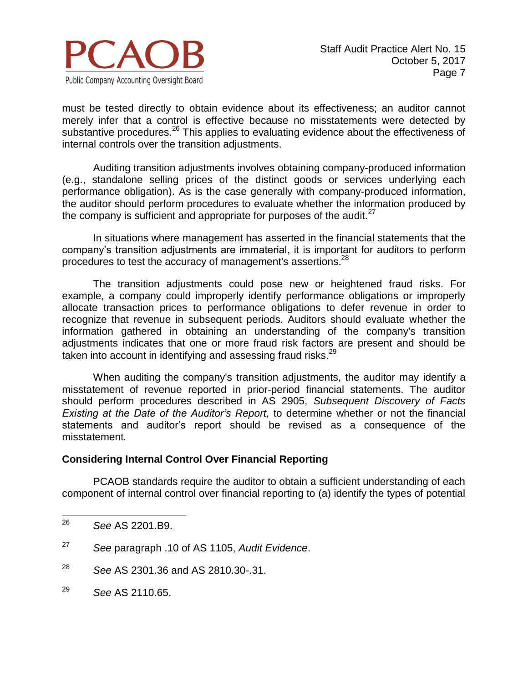

must be tested directly to obtain evidence about its effectiveness; an auditor cannot merely infer that a control is effective because no misstatements were detected by substantive procedures.<sup>26</sup> This applies to evaluating evidence about the effectiveness of internal controls over the transition adjustments.

Auditing transition adjustments involves obtaining company-produced information (e.g., standalone selling prices of the distinct goods or services underlying each performance obligation). As is the case generally with company-produced information, the auditor should perform procedures to evaluate whether the information produced by the company is sufficient and appropriate for purposes of the audit. $27$ 

In situations where management has asserted in the financial statements that the company's transition adjustments are immaterial, it is important for auditors to perform procedures to test the accuracy of management's assertions.<sup>28</sup>

The transition adjustments could pose new or heightened fraud risks. For example, a company could improperly identify performance obligations or improperly allocate transaction prices to performance obligations to defer revenue in order to recognize that revenue in subsequent periods. Auditors should evaluate whether the information gathered in obtaining an understanding of the company's transition adjustments indicates that one or more fraud risk factors are present and should be taken into account in identifying and assessing fraud risks.<sup>29</sup>

When auditing the company's transition adjustments, the auditor may identify a misstatement of revenue reported in prior-period financial statements. The auditor should perform procedures described in AS 2905, *Subsequent Discovery of Facts Existing at the Date of the Auditor's Report,* to determine whether or not the financial statements and auditor's report should be revised as a consequence of the misstatement*.*

#### **Considering Internal Control Over Financial Reporting**

PCAOB standards require the auditor to obtain a sufficient understanding of each component of internal control over financial reporting to (a) identify the types of potential

- <sup>28</sup> *See* AS 2301.36 and AS 2810.30-.31.
- <sup>29</sup> *See* AS 2110.65.

 $26$ <sup>26</sup> *See* AS 2201.B9.

<sup>27</sup> *See* paragraph .10 of AS 1105, *Audit Evidence*.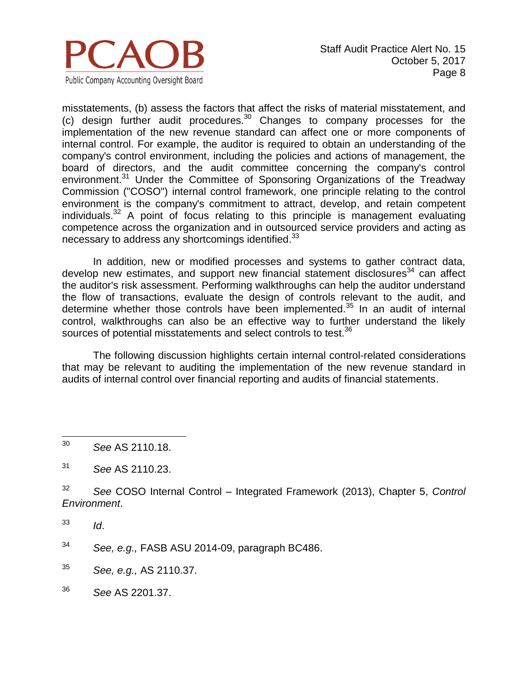

misstatements, (b) assess the factors that affect the risks of material misstatement, and (c) design further audit procedures.<sup>30</sup> Changes to company processes for the implementation of the new revenue standard can affect one or more components of internal control. For example, the auditor is required to obtain an understanding of the company's control environment, including the policies and actions of management, the board of directors, and the audit committee concerning the company's control environment.<sup>31</sup> Under the Committee of Sponsoring Organizations of the Treadway Commission ("COSO") internal control framework, one principle relating to the control environment is the company's commitment to attract, develop, and retain competent individuals. $32$  A point of focus relating to this principle is management evaluating competence across the organization and in outsourced service providers and acting as necessary to address any shortcomings identified.<sup>33</sup>

In addition, new or modified processes and systems to gather contract data, develop new estimates, and support new financial statement disclosures $34$  can affect the auditor's risk assessment. Performing walkthroughs can help the auditor understand the flow of transactions, evaluate the design of controls relevant to the audit, and determine whether those controls have been implemented. $35$  In an audit of internal control, walkthroughs can also be an effective way to further understand the likely sources of potential misstatements and select controls to test.<sup>36</sup>

The following discussion highlights certain internal control-related considerations that may be relevant to auditing the implementation of the new revenue standard in audits of internal control over financial reporting and audits of financial statements.

- <sup>32</sup> *See* COSO Internal Control Integrated Framework (2013), Chapter 5, *Control Environment*.
- <sup>33</sup> *Id*.
- <sup>34</sup> *See, e.g.,* FASB ASU 2014-09, paragraph BC486.
- <sup>35</sup> *See, e.g.,* AS 2110.37.
- <sup>36</sup> *See* AS 2201.37.

<sup>30</sup> <sup>30</sup> *See* AS 2110.18.

<sup>31</sup> *See* AS 2110.23.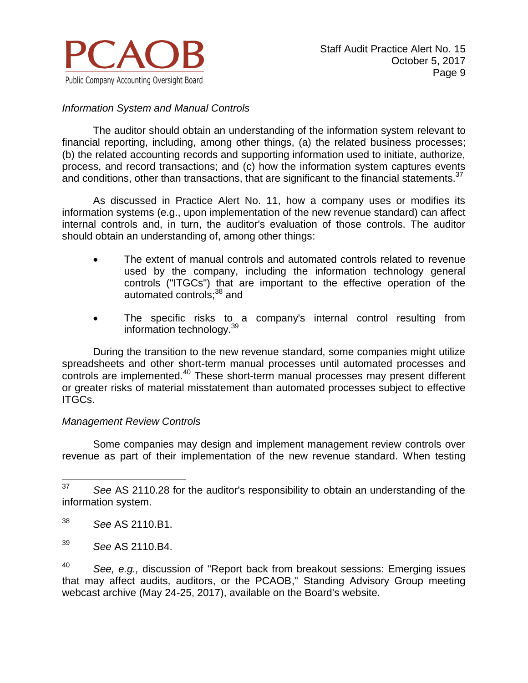

### *Information System and Manual Controls*

The auditor should obtain an understanding of the information system relevant to financial reporting, including, among other things, (a) the related business processes; (b) the related accounting records and supporting information used to initiate, authorize, process, and record transactions; and (c) how the information system captures events and conditions, other than transactions, that are significant to the financial statements.<sup>37</sup>

As discussed in Practice Alert No. 11, how a company uses or modifies its information systems (e.g., upon implementation of the new revenue standard) can affect internal controls and, in turn, the auditor's evaluation of those controls. The auditor should obtain an understanding of, among other things:

- The extent of manual controls and automated controls related to revenue used by the company, including the information technology general controls ("ITGCs") that are important to the effective operation of the automated controls;<sup>38</sup> and
- The specific risks to a company's internal control resulting from information technology. 39

During the transition to the new revenue standard, some companies might utilize spreadsheets and other short-term manual processes until automated processes and controls are implemented.<sup>40</sup> These short-term manual processes may present different or greater risks of material misstatement than automated processes subject to effective ITGCs.

#### *Management Review Controls*

Some companies may design and implement management review controls over revenue as part of their implementation of the new revenue standard. When testing

<sup>40</sup> *See, e.g.,* discussion of "Report back from breakout sessions: Emerging issues that may affect audits, auditors, or the PCAOB," Standing Advisory Group meeting webcast archive (May 24-25, 2017), available on the Board's website.

<sup>37</sup> <sup>37</sup> *See* AS 2110.28 for the auditor's responsibility to obtain an understanding of the information system.

<sup>38</sup> *See* AS 2110.B1.

<sup>39</sup> *See* AS 2110.B4.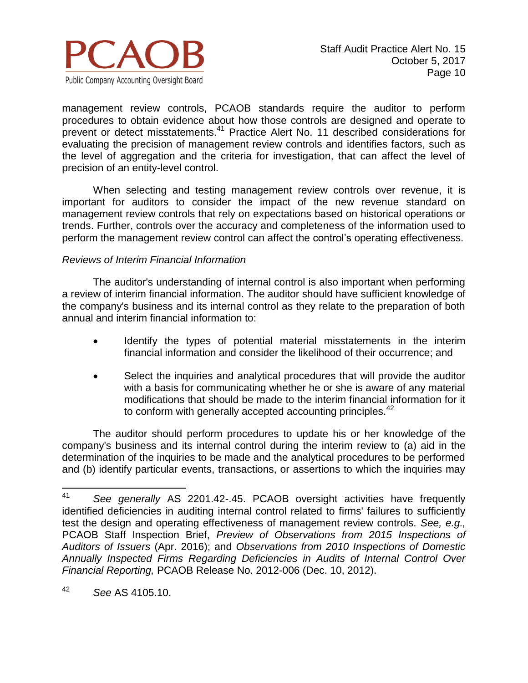

management review controls, PCAOB standards require the auditor to perform procedures to obtain evidence about how those controls are designed and operate to prevent or detect misstatements.<sup>41</sup> Practice Alert No. 11 described considerations for evaluating the precision of management review controls and identifies factors, such as the level of aggregation and the criteria for investigation, that can affect the level of precision of an entity-level control.

When selecting and testing management review controls over revenue, it is important for auditors to consider the impact of the new revenue standard on management review controls that rely on expectations based on historical operations or trends. Further, controls over the accuracy and completeness of the information used to perform the management review control can affect the control's operating effectiveness.

#### *Reviews of Interim Financial Information*

The auditor's understanding of internal control is also important when performing a review of interim financial information. The auditor should have sufficient knowledge of the company's business and its internal control as they relate to the preparation of both annual and interim financial information to:

- Identify the types of potential material misstatements in the interim financial information and consider the likelihood of their occurrence; and
- Select the inquiries and analytical procedures that will provide the auditor with a basis for communicating whether he or she is aware of any material modifications that should be made to the interim financial information for it to conform with generally accepted accounting principles.<sup>42</sup>

The auditor should perform procedures to update his or her knowledge of the company's business and its internal control during the interim review to (a) aid in the determination of the inquiries to be made and the analytical procedures to be performed and (b) identify particular events, transactions, or assertions to which the inquiries may

<sup>42</sup> *See* AS 4105.10.

<sup>41</sup> <sup>41</sup> *See generally* AS 2201.42-.45. PCAOB oversight activities have frequently identified deficiencies in auditing internal control related to firms' failures to sufficiently test the design and operating effectiveness of management review controls. *See, e.g.,* PCAOB Staff Inspection Brief, *Preview of Observations from 2015 Inspections of Auditors of Issuers* (Apr. 2016); and *Observations from 2010 Inspections of Domestic Annually Inspected Firms Regarding Deficiencies in Audits of Internal Control Over Financial Reporting,* PCAOB Release No. 2012-006 (Dec. 10, 2012).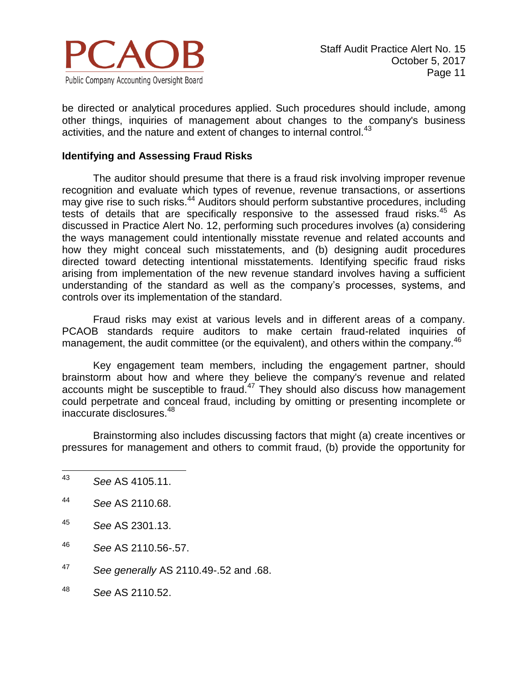

be directed or analytical procedures applied. Such procedures should include, among other things, inquiries of management about changes to the company's business activities, and the nature and extent of changes to internal control.<sup>43</sup>

#### **Identifying and Assessing Fraud Risks**

The auditor should presume that there is a fraud risk involving improper revenue recognition and evaluate which types of revenue, revenue transactions, or assertions may give rise to such risks.<sup>44</sup> Auditors should perform substantive procedures, including tests of details that are specifically responsive to the assessed fraud risks.  $45$  As discussed in Practice Alert No. 12, performing such procedures involves (a) considering the ways management could intentionally misstate revenue and related accounts and how they might conceal such misstatements, and (b) designing audit procedures directed toward detecting intentional misstatements. Identifying specific fraud risks arising from implementation of the new revenue standard involves having a sufficient understanding of the standard as well as the company's processes, systems, and controls over its implementation of the standard.

Fraud risks may exist at various levels and in different areas of a company. PCAOB standards require auditors to make certain fraud-related inquiries of management, the audit committee (or the equivalent), and others within the company.<sup>46</sup>

Key engagement team members, including the engagement partner, should brainstorm about how and where they believe the company's revenue and related accounts might be susceptible to fraud. $47$  They should also discuss how management could perpetrate and conceal fraud, including by omitting or presenting incomplete or inaccurate disclosures.<sup>48</sup>

Brainstorming also includes discussing factors that might (a) create incentives or pressures for management and others to commit fraud, (b) provide the opportunity for

- <sup>47</sup> *See generally* AS 2110.49-.52 and .68.
- <sup>48</sup> *See* AS 2110.52.

<sup>43</sup> <sup>43</sup> *See* AS 4105.11.

<sup>44</sup> *See* AS 2110.68.

<sup>45</sup> *See* AS 2301.13.

<sup>46</sup> *See* AS 2110.56-.57.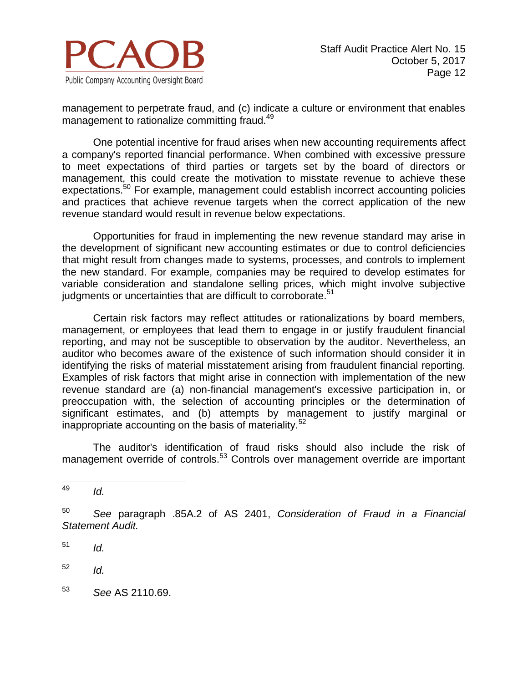

management to perpetrate fraud, and (c) indicate a culture or environment that enables management to rationalize committing fraud.<sup>49</sup>

One potential incentive for fraud arises when new accounting requirements affect a company's reported financial performance. When combined with excessive pressure to meet expectations of third parties or targets set by the board of directors or management, this could create the motivation to misstate revenue to achieve these expectations.<sup>50</sup> For example, management could establish incorrect accounting policies and practices that achieve revenue targets when the correct application of the new revenue standard would result in revenue below expectations.

Opportunities for fraud in implementing the new revenue standard may arise in the development of significant new accounting estimates or due to control deficiencies that might result from changes made to systems, processes, and controls to implement the new standard. For example, companies may be required to develop estimates for variable consideration and standalone selling prices, which might involve subjective judgments or uncertainties that are difficult to corroborate.<sup>51</sup>

Certain risk factors may reflect attitudes or rationalizations by board members, management, or employees that lead them to engage in or justify fraudulent financial reporting, and may not be susceptible to observation by the auditor. Nevertheless, an auditor who becomes aware of the existence of such information should consider it in identifying the risks of material misstatement arising from fraudulent financial reporting. Examples of risk factors that might arise in connection with implementation of the new revenue standard are (a) non-financial management's excessive participation in, or preoccupation with, the selection of accounting principles or the determination of significant estimates, and (b) attempts by management to justify marginal or inappropriate accounting on the basis of materiality.<sup>52</sup>

The auditor's identification of fraud risks should also include the risk of management override of controls.<sup>53</sup> Controls over management override are important

<sup>53</sup> *See* AS 2110.69.

<sup>49</sup> *Id.* 

<sup>50</sup> *See* paragraph .85A.2 of AS 2401, *Consideration of Fraud in a Financial Statement Audit.*

 $151$  *Id.* 

 $^{52}$  *Id.*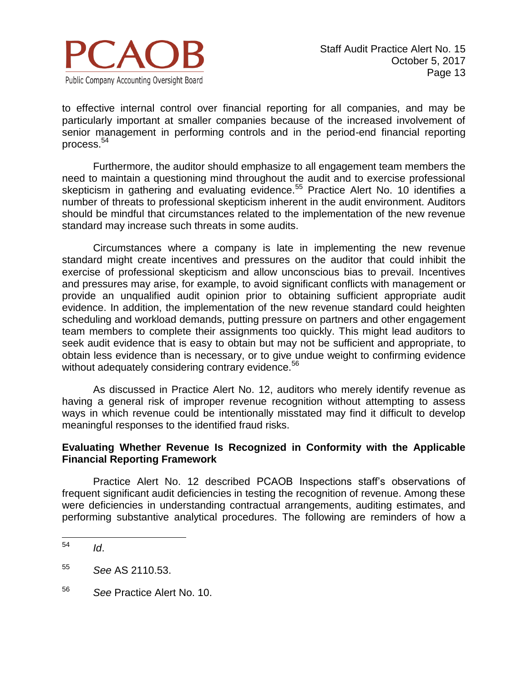

to effective internal control over financial reporting for all companies, and may be particularly important at smaller companies because of the increased involvement of senior management in performing controls and in the period-end financial reporting process.<sup>54</sup>

Furthermore, the auditor should emphasize to all engagement team members the need to maintain a questioning mind throughout the audit and to exercise professional skepticism in gathering and evaluating evidence.<sup>55</sup> Practice Alert No. 10 identifies a number of threats to professional skepticism inherent in the audit environment. Auditors should be mindful that circumstances related to the implementation of the new revenue standard may increase such threats in some audits.

Circumstances where a company is late in implementing the new revenue standard might create incentives and pressures on the auditor that could inhibit the exercise of professional skepticism and allow unconscious bias to prevail. Incentives and pressures may arise, for example, to avoid significant conflicts with management or provide an unqualified audit opinion prior to obtaining sufficient appropriate audit evidence. In addition, the implementation of the new revenue standard could heighten scheduling and workload demands, putting pressure on partners and other engagement team members to complete their assignments too quickly. This might lead auditors to seek audit evidence that is easy to obtain but may not be sufficient and appropriate, to obtain less evidence than is necessary, or to give undue weight to confirming evidence without adequately considering contrary evidence.<sup>56</sup>

As discussed in Practice Alert No. 12, auditors who merely identify revenue as having a general risk of improper revenue recognition without attempting to assess ways in which revenue could be intentionally misstated may find it difficult to develop meaningful responses to the identified fraud risks.

#### **Evaluating Whether Revenue Is Recognized in Conformity with the Applicable Financial Reporting Framework**

Practice Alert No. 12 described PCAOB Inspections staff's observations of frequent significant audit deficiencies in testing the recognition of revenue. Among these were deficiencies in understanding contractual arrangements, auditing estimates, and performing substantive analytical procedures. The following are reminders of how a

<sup>56</sup> *See* Practice Alert No. 10.

<sup>54</sup> <sup>54</sup> *Id*.

<sup>55</sup> *See* AS 2110.53.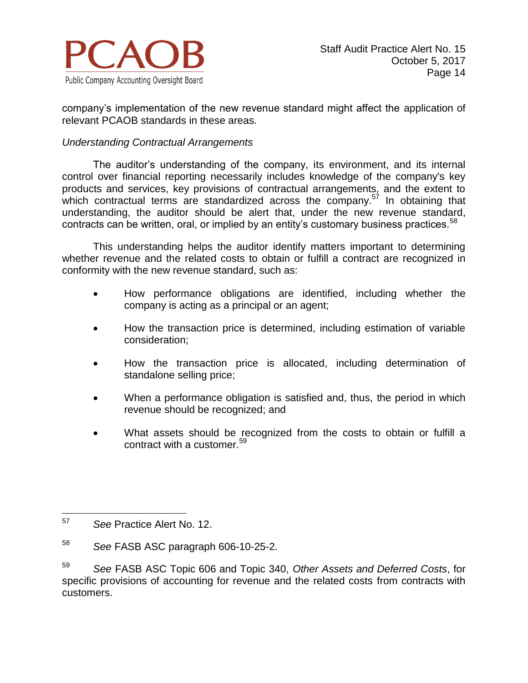

company's implementation of the new revenue standard might affect the application of relevant PCAOB standards in these areas.

#### *Understanding Contractual Arrangements*

The auditor's understanding of the company, its environment, and its internal control over financial reporting necessarily includes knowledge of the company's key products and services, key provisions of contractual arrangements, and the extent to which contractual terms are standardized across the company.<sup>57</sup> In obtaining that understanding, the auditor should be alert that, under the new revenue standard, contracts can be written, oral, or implied by an entity's customary business practices.<sup>58</sup>

This understanding helps the auditor identify matters important to determining whether revenue and the related costs to obtain or fulfill a contract are recognized in conformity with the new revenue standard, such as:

- How performance obligations are identified, including whether the company is acting as a principal or an agent;
- How the transaction price is determined, including estimation of variable consideration;
- How the transaction price is allocated, including determination of standalone selling price;
- When a performance obligation is satisfied and, thus, the period in which revenue should be recognized; and
- What assets should be recognized from the costs to obtain or fulfill a contract with a customer. 59

<sup>57</sup> See Practice Alert No. 12.

<sup>58</sup> *See* FASB ASC paragraph 606-10-25-2.

<sup>59</sup> *See* FASB ASC Topic 606 and Topic 340, *Other Assets and Deferred Costs*, for specific provisions of accounting for revenue and the related costs from contracts with customers.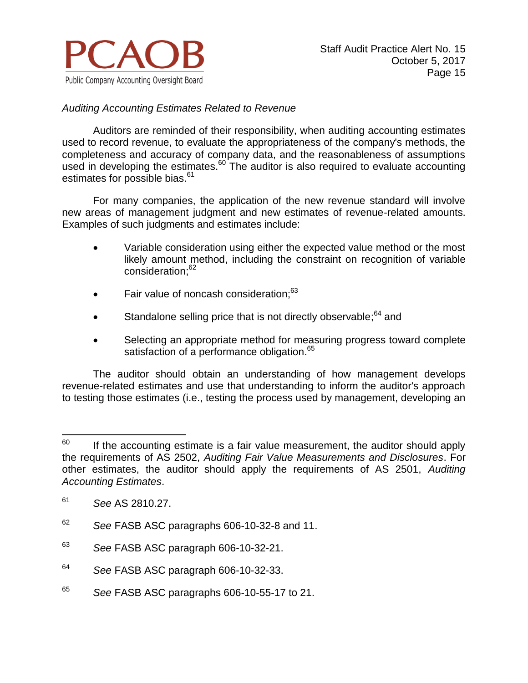

## *Auditing Accounting Estimates Related to Revenue*

Auditors are reminded of their responsibility, when auditing accounting estimates used to record revenue, to evaluate the appropriateness of the company's methods, the completeness and accuracy of company data, and the reasonableness of assumptions used in developing the estimates. $60$  The auditor is also required to evaluate accounting estimates for possible bias.<sup>61</sup>

For many companies, the application of the new revenue standard will involve new areas of management judgment and new estimates of revenue-related amounts. Examples of such judgments and estimates include:

- Variable consideration using either the expected value method or the most likely amount method, including the constraint on recognition of variable consideration; 62
- Fair value of noncash consideration;<sup>63</sup>
- Standalone selling price that is not directly observable;<sup>64</sup> and
- Selecting an appropriate method for measuring progress toward complete satisfaction of a performance obligation.<sup>65</sup>

The auditor should obtain an understanding of how management develops revenue-related estimates and use that understanding to inform the auditor's approach to testing those estimates (i.e., testing the process used by management, developing an

<sup>65</sup> *See* FASB ASC paragraphs 606-10-55-17 to 21.

<sup>60</sup> If the accounting estimate is a fair value measurement, the auditor should apply the requirements of AS 2502, *Auditing Fair Value Measurements and Disclosures*. For other estimates, the auditor should apply the requirements of AS 2501, *Auditing Accounting Estimates*.

<sup>61</sup> *See* AS 2810.27.

<sup>62</sup> *See* FASB ASC paragraphs 606-10-32-8 and 11.

<sup>63</sup> *See* FASB ASC paragraph 606-10-32-21.

<sup>64</sup> *See* FASB ASC paragraph 606-10-32-33.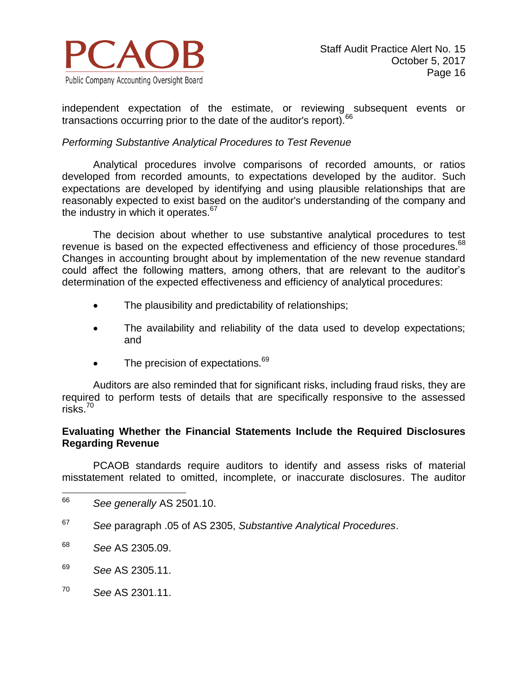

independent expectation of the estimate, or reviewing subsequent events or transactions occurring prior to the date of the auditor's report).<sup>66</sup>

#### *Performing Substantive Analytical Procedures to Test Revenue*

Analytical procedures involve comparisons of recorded amounts, or ratios developed from recorded amounts, to expectations developed by the auditor. Such expectations are developed by identifying and using plausible relationships that are reasonably expected to exist based on the auditor's understanding of the company and the industry in which it operates. $67$ 

The decision about whether to use substantive analytical procedures to test revenue is based on the expected effectiveness and efficiency of those procedures.<sup>68</sup> Changes in accounting brought about by implementation of the new revenue standard could affect the following matters, among others, that are relevant to the auditor's determination of the expected effectiveness and efficiency of analytical procedures:

- The plausibility and predictability of relationships;
- The availability and reliability of the data used to develop expectations; and
- $\bullet$  The precision of expectations.  $69$

Auditors are also reminded that for significant risks, including fraud risks, they are required to perform tests of details that are specifically responsive to the assessed risks.<sup>70</sup>

### **Evaluating Whether the Financial Statements Include the Required Disclosures Regarding Revenue**

PCAOB standards require auditors to identify and assess risks of material misstatement related to omitted, incomplete, or inaccurate disclosures. The auditor

- <sup>67</sup>*See* paragraph .05 of AS 2305, *Substantive Analytical Procedures*.
- <sup>68</sup> *See* AS 2305.09.
- <sup>69</sup> *See* AS 2305.11.
- <sup>70</sup> *See* AS 2301.11.

<sup>66</sup> <sup>66</sup> *See generally* AS 2501.10.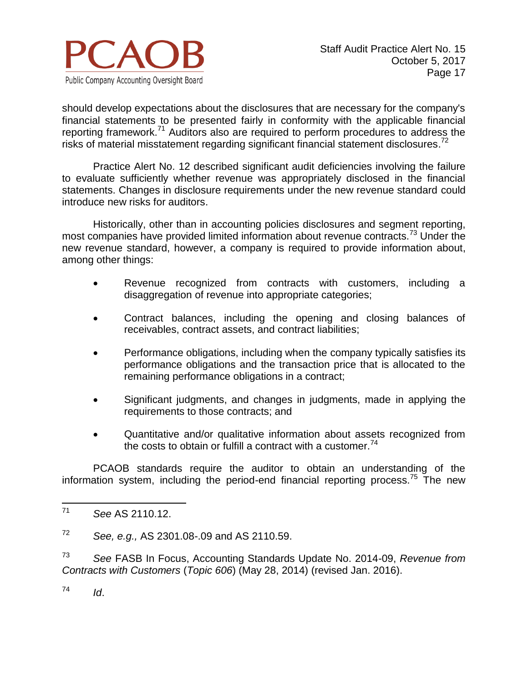

should develop expectations about the disclosures that are necessary for the company's financial statements to be presented fairly in conformity with the applicable financial reporting framework.<sup>71</sup> Auditors also are required to perform procedures to address the risks of material misstatement regarding significant financial statement disclosures.<sup>72</sup>

Practice Alert No. 12 described significant audit deficiencies involving the failure to evaluate sufficiently whether revenue was appropriately disclosed in the financial statements. Changes in disclosure requirements under the new revenue standard could introduce new risks for auditors.

Historically, other than in accounting policies disclosures and segment reporting, most companies have provided limited information about revenue contracts.<sup>73</sup> Under the new revenue standard, however, a company is required to provide information about, among other things:

- Revenue recognized from contracts with customers, including a disaggregation of revenue into appropriate categories;
- Contract balances, including the opening and closing balances of receivables, contract assets, and contract liabilities;
- Performance obligations, including when the company typically satisfies its performance obligations and the transaction price that is allocated to the remaining performance obligations in a contract;
- Significant judgments, and changes in judgments, made in applying the requirements to those contracts; and
- Quantitative and/or qualitative information about assets recognized from the costs to obtain or fulfill a contract with a customer.<sup>74</sup>

PCAOB standards require the auditor to obtain an understanding of the information system, including the period-end financial reporting process.<sup>75</sup> The new

 $^{74}$  *Id.* 

 $71$ <sup>71</sup> *See* AS 2110.12.

<sup>72</sup> *See, e.g.,* AS 2301.08-.09 and AS 2110.59.

<sup>73</sup> *See* FASB In Focus, Accounting Standards Update No. 2014-09, *Revenue from Contracts with Customers* (*Topic 606*) (May 28, 2014) (revised Jan. 2016).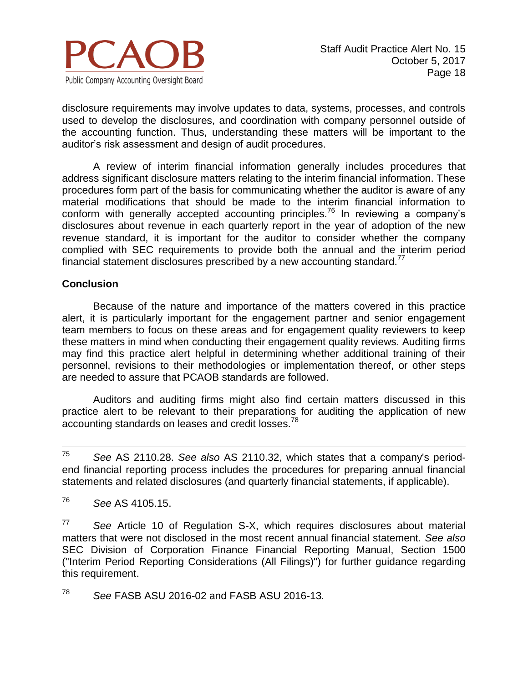

disclosure requirements may involve updates to data, systems, processes, and controls used to develop the disclosures, and coordination with company personnel outside of the accounting function. Thus, understanding these matters will be important to the auditor's risk assessment and design of audit procedures.

A review of interim financial information generally includes procedures that address significant disclosure matters relating to the interim financial information. These procedures form part of the basis for communicating whether the auditor is aware of any material modifications that should be made to the interim financial information to conform with generally accepted accounting principles.<sup>76</sup> In reviewing a company's disclosures about revenue in each quarterly report in the year of adoption of the new revenue standard, it is important for the auditor to consider whether the company complied with SEC requirements to provide both the annual and the interim period financial statement disclosures prescribed by a new accounting standard. $^{77}$ 

#### **Conclusion**

Because of the nature and importance of the matters covered in this practice alert, it is particularly important for the engagement partner and senior engagement team members to focus on these areas and for engagement quality reviewers to keep these matters in mind when conducting their engagement quality reviews. Auditing firms may find this practice alert helpful in determining whether additional training of their personnel, revisions to their methodologies or implementation thereof, or other steps are needed to assure that PCAOB standards are followed.

Auditors and auditing firms might also find certain matters discussed in this practice alert to be relevant to their preparations for auditing the application of new accounting standards on leases and credit losses.<sup>78</sup>

75 <sup>75</sup> *See* AS 2110.28. *See also* AS 2110.32, which states that a company's periodend financial reporting process includes the procedures for preparing annual financial statements and related disclosures (and quarterly financial statements, if applicable).

<sup>76</sup> *See* AS 4105.15.

<sup>77</sup> *See* Article 10 of Regulation S-X, which requires disclosures about material matters that were not disclosed in the most recent annual financial statement. *See also* SEC Division of Corporation Finance Financial Reporting Manual, Section 1500 ("Interim Period Reporting Considerations (All Filings)") for further guidance regarding this requirement.

<sup>78</sup> *See* FASB ASU 2016-02 and FASB ASU 2016-13*.*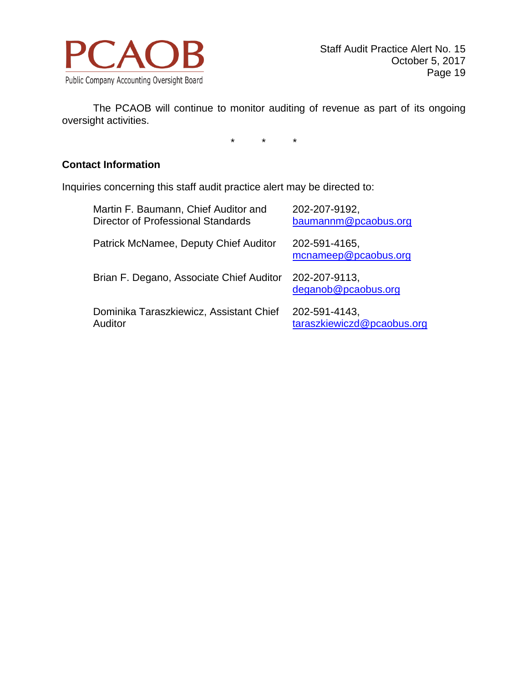

The PCAOB will continue to monitor auditing of revenue as part of its ongoing oversight activities.

\* \* \*

# **Contact Information**

Inquiries concerning this staff audit practice alert may be directed to:

| Martin F. Baumann, Chief Auditor and     | 202-207-9192,                         |
|------------------------------------------|---------------------------------------|
| Director of Professional Standards       | baumannm@pcaobus.org                  |
| Patrick McNamee, Deputy Chief Auditor    | 202-591-4165,<br>mcnameep@pcaobus.org |
| Brian F. Degano, Associate Chief Auditor | 202-207-9113,<br>deganob@pcaobus.org  |
| Dominika Taraszkiewicz, Assistant Chief  | 202-591-4143,                         |
| Auditor                                  | taraszkiewiczd@pcaobus.org            |